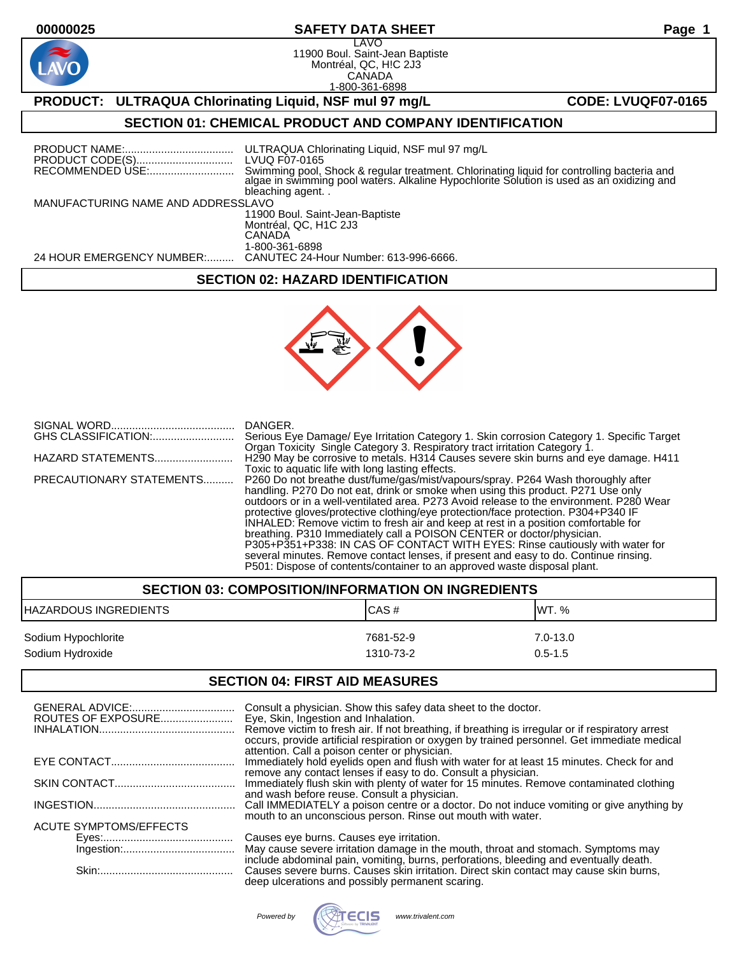# **00000025 SAFETY DATA SHEET Page 1**

LAVO 11900 Boul. Saint-Jean Baptiste Montréal, QC, H!C 2J3 CANADA 1-800-361-6898

# **PRODUCT:** ULTRAQUA Chlorinating Liquid, NSF mul 97 mg/L **CODE: LVUQF07-0165**

## **SECTION 01: CHEMICAL PRODUCT AND COMPANY IDENTIFICATION**

|                                    | ULTRAQUA Chlorinating Liquid, NSF mul 97 mg/L<br>LVUQ F07-0165<br>Swimming pool, Shock & regular treatment. Chlorinating liquid for controlling bacteria and<br>algae in swimming pool waters. Alkaline Hypochlorite Solution is used as an oxidizing and<br>bleaching agent |  |
|------------------------------------|------------------------------------------------------------------------------------------------------------------------------------------------------------------------------------------------------------------------------------------------------------------------------|--|
| MANUFACTURING NAME AND ADDRESSLAVO |                                                                                                                                                                                                                                                                              |  |
|                                    | 11900 Boul. Saint-Jean-Baptiste                                                                                                                                                                                                                                              |  |
|                                    | Montréal, QC, H1C 2J3<br>CANADA                                                                                                                                                                                                                                              |  |
|                                    | 1-800-361-6898                                                                                                                                                                                                                                                               |  |
| 24 HOUR EMERGENCY NUMBER:          | CANUTEC 24-Hour Number: 613-996-6666.                                                                                                                                                                                                                                        |  |

## **SECTION 02: HAZARD IDENTIFICATION**



|                          | DANGER.                                                                                                                                                           |
|--------------------------|-------------------------------------------------------------------------------------------------------------------------------------------------------------------|
|                          | Serious Eye Damage/ Eye Irritation Category 1. Skin corrosion Category 1. Specific Target                                                                         |
| HAZARD STATEMENTS        | Organ Toxicity Single Category 3. Respiratory tract irritation Category 1.<br>H290 May be corrosive to metals. H314 Causes severe skin burns and eye damage. H411 |
|                          | Toxic to aquatic life with long lasting effects.                                                                                                                  |
| PRECAUTIONARY STATEMENTS | P260 Do not breathe dust/fume/gas/mist/vapours/spray. P264 Wash thoroughly after                                                                                  |
|                          | handling. P270 Do not eat, drink or smoke when using this product. P271 Use only                                                                                  |
|                          | outdoors or in a well-ventilated area. P273 Avoid release to the environment. P280 Wear                                                                           |
|                          | protective gloves/protective clothing/eye protection/face protection. P304+P340 IF                                                                                |
|                          | INHALED: Remove victim to fresh air and keep at rest in a position comfortable for                                                                                |
|                          | breathing. P310 Immediately call a POISON CENTER or doctor/physician.                                                                                             |
|                          | P305+P351+P338: IN CAS OF CONTACT WITH EYES: Rinse cautiously with water for                                                                                      |
|                          | several minutes. Remove contact lenses, if present and easy to do. Continue rinsing.                                                                              |
|                          | P501: Dispose of contents/container to an approved waste disposal plant.                                                                                          |

| <b>SECTION 03: COMPOSITION/INFORMATION ON INGREDIENTS</b> |                        |                             |
|-----------------------------------------------------------|------------------------|-----------------------------|
| <b>IHAZARDOUS INGREDIENTS</b>                             | ICAS#                  | IWT. %                      |
| Sodium Hypochlorite<br>Sodium Hydroxide                   | 7681-52-9<br>1310-73-2 | $7.0 - 13.0$<br>$0.5 - 1.5$ |

#### **SECTION 04: FIRST AID MEASURES**

| ROUTES OF EXPOSURE     | Consult a physician. Show this safey data sheet to the doctor.<br>Eye, Skin, Ingestion and Inhalation.<br>Remove victim to fresh air. If not breathing, if breathing is irregular or if respiratory arrest<br>occurs, provide artificial respiration or oxygen by trained personnel. Get immediate medical<br>attention. Call a poison center or physician. |
|------------------------|-------------------------------------------------------------------------------------------------------------------------------------------------------------------------------------------------------------------------------------------------------------------------------------------------------------------------------------------------------------|
|                        | Immediately hold eyelids open and flush with water for at least 15 minutes. Check for and                                                                                                                                                                                                                                                                   |
|                        | remove any contact lenses if easy to do. Consult a physician.<br>Immediately flush skin with plenty of water for 15 minutes. Remove contaminated clothing<br>and wash before reuse. Consult a physician.                                                                                                                                                    |
|                        | Call IMMEDIATELY a poison centre or a doctor. Do not induce vomiting or give anything by<br>mouth to an unconscious person. Rinse out mouth with water.                                                                                                                                                                                                     |
| ACUTE SYMPTOMS/EFFECTS |                                                                                                                                                                                                                                                                                                                                                             |
|                        | Causes eye burns. Causes eye irritation.                                                                                                                                                                                                                                                                                                                    |
|                        | May cause severe irritation damage in the mouth, throat and stomach. Symptoms may                                                                                                                                                                                                                                                                           |
|                        | include abdominal pain, vomiting, burns, perforations, bleeding and eventually death.<br>Causes severe burns. Causes skin irritation. Direct skin contact may cause skin burns,<br>deep ulcerations and possibly permanent scaring.                                                                                                                         |

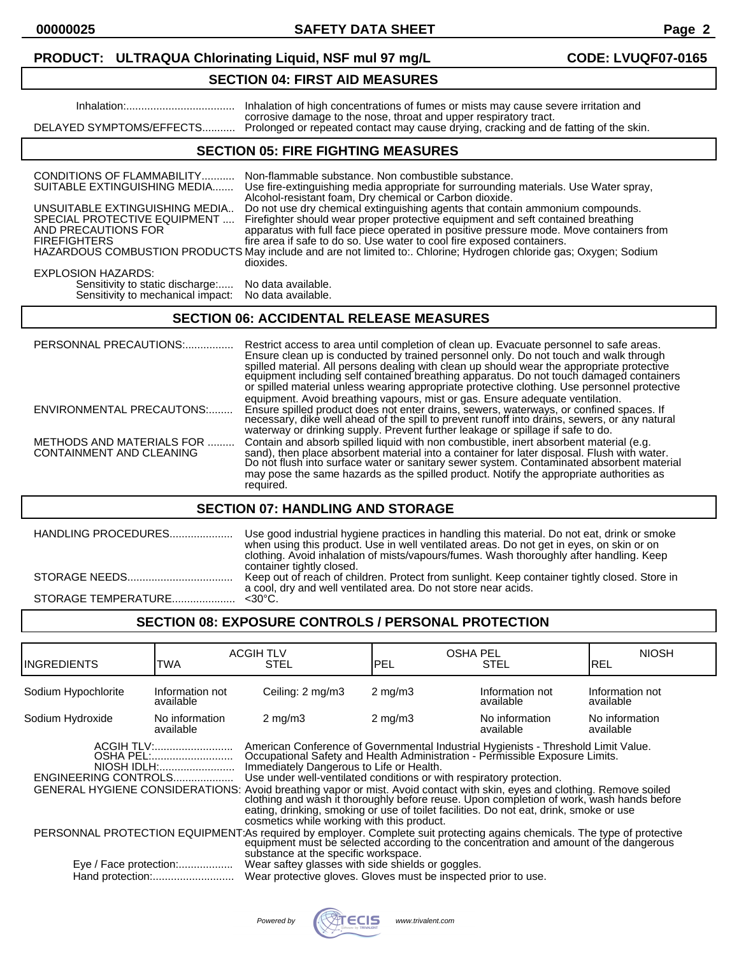**00000025 SAFETY DATA SHEET Page 2**

## **PRODUCT: ULTRAQUA Chlorinating Liquid, NSF mul 97 mg/L CODE: LVUQF07-0165**

## **SECTION 04: FIRST AID MEASURES**

| DELAYED SYMPTOMS/EFFECTS                                                                                                                                                   | Inhalation of high concentrations of fumes or mists may cause severe irritation and<br>corrosive damage to the nose, throat and upper respiratory tract.<br>Prolonged or repeated contact may cause drying, cracking and de fatting of the skin.                                                                                                                                                                                                                                                                                                                                                                                                                                   |
|----------------------------------------------------------------------------------------------------------------------------------------------------------------------------|------------------------------------------------------------------------------------------------------------------------------------------------------------------------------------------------------------------------------------------------------------------------------------------------------------------------------------------------------------------------------------------------------------------------------------------------------------------------------------------------------------------------------------------------------------------------------------------------------------------------------------------------------------------------------------|
|                                                                                                                                                                            | <b>SECTION 05: FIRE FIGHTING MEASURES</b>                                                                                                                                                                                                                                                                                                                                                                                                                                                                                                                                                                                                                                          |
| CONDITIONS OF FLAMMABILITY<br>SUITABLE EXTINGUISHING MEDIA<br>UNSUITABLE EXTINGUISHING MEDIA<br>SPECIAL PROTECTIVE EQUIPMENT<br>AND PRECAUTIONS FOR<br><b>FIREFIGHTERS</b> | Non-flammable substance. Non combustible substance.<br>Use fire-extinguishing media appropriate for surrounding materials. Use Water spray,<br>Alcohol-resistant foam, Dry chemical or Carbon dioxide.<br>Do not use dry chemical extinguishing agents that contain ammonium compounds.<br>Firefighter should wear proper protective equipment and seft contained breathing<br>apparatus with full face piece operated in positive pressure mode. Move containers from<br>fire area if safe to do so. Use water to cool fire exposed containers.<br>HAZARDOUS COMBUSTION PRODUCTS May include and are not limited to: Chlorine; Hydrogen chloride gas; Oxygen; Sodium<br>dioxides. |
| <b>EXPLOSION HAZARDS:</b><br>Sensitivity to static discharge:<br>Sensitivity to mechanical impact:                                                                         | No data available.<br>No data available.                                                                                                                                                                                                                                                                                                                                                                                                                                                                                                                                                                                                                                           |
|                                                                                                                                                                            | <b>SECTION 06: ACCIDENTAL RELEASE MEASURES</b>                                                                                                                                                                                                                                                                                                                                                                                                                                                                                                                                                                                                                                     |

#### PERSONNAL PRECAUTIONS:................ Restrict access to area until completion of clean up. Evacuate personnel to safe areas. Ensure clean up is conducted by trained personnel only. Do not touch and walk through spilled material. All persons dealing with clean up should wear the appropriate protective equipment including self contained breathing apparatus. Do not touch damaged containers or spilled material unless wearing appropriate protective clothing. Use personnel protective equipment. Avoid breathing vapours, mist or gas. Ensure adequate ventilation. ENVIRONMENTAL PRECAUTONS:........ Ensure spilled product does not enter drains, sewers, waterways, or confined spaces. If necessary, dike well ahead of the spill to prevent runoff into drains, sewers, or any natural waterway or drinking supply. Prevent further leakage or spillage if safe to do. METHODS AND MATERIALS FOR .......... Contain and absorb spilled liquid with non combustible, inert absorbent material (e.g.<br>CONTAINMENT AND CLEANING sand), then place absorbent material into a container for later disposal. CONTAINMENT AND CLEANING sand), then place absorbent material into a container for later disposal. Flush with water. Do not flush into surface water or sanitary sewer system. Contaminated absorbent material may pose the same hazards as the spilled product. Notify the appropriate authorities as required.

## **SECTION 07: HANDLING AND STORAGE**

| <b>HANDLING PROCEDURES</b> | Use good industrial hygiene practices in handling this material. Do not eat, drink or smoke<br>when using this product. Use in well ventilated areas. Do not get in eyes, on skin or on<br>clothing. Avoid inhalation of mists/vapours/fumes. Wash thoroughly after handling. Keep<br>container tightly closed. |
|----------------------------|-----------------------------------------------------------------------------------------------------------------------------------------------------------------------------------------------------------------------------------------------------------------------------------------------------------------|
|                            | Keep out of reach of children. Protect from sunlight. Keep container tightly closed. Store in<br>a cool, dry and well ventilated area. Do not store near acids.                                                                                                                                                 |
|                            |                                                                                                                                                                                                                                                                                                                 |
|                            |                                                                                                                                                                                                                                                                                                                 |

## **SECTION 08: EXPOSURE CONTROLS / PERSONAL PROTECTION**

| IINGREDIENTS                                   | TWA                                                        | <b>ACGIH TLV</b><br>STEL                                                                                                                                                                                                                                                                                                                                                                                                                                                                                                                                                                                                                                                                                                                                                                                                                                                                                                                                                                                                                    | <b>OSHA PEL</b><br>IPEL | <b>STEL</b>                  | <b>NIOSH</b><br>IREL         |
|------------------------------------------------|------------------------------------------------------------|---------------------------------------------------------------------------------------------------------------------------------------------------------------------------------------------------------------------------------------------------------------------------------------------------------------------------------------------------------------------------------------------------------------------------------------------------------------------------------------------------------------------------------------------------------------------------------------------------------------------------------------------------------------------------------------------------------------------------------------------------------------------------------------------------------------------------------------------------------------------------------------------------------------------------------------------------------------------------------------------------------------------------------------------|-------------------------|------------------------------|------------------------------|
| Sodium Hypochlorite                            | Information not<br>available                               | Ceiling: 2 mg/m3                                                                                                                                                                                                                                                                                                                                                                                                                                                                                                                                                                                                                                                                                                                                                                                                                                                                                                                                                                                                                            | $2 \text{ mg/m}$        | Information not<br>available | Information not<br>available |
| Sodium Hydroxide                               | No information<br>available                                | $2 \text{ mg/m}$                                                                                                                                                                                                                                                                                                                                                                                                                                                                                                                                                                                                                                                                                                                                                                                                                                                                                                                                                                                                                            | $2 \text{ mg/m}$        | No information<br>available  | No information<br>available  |
| ENGINEERING CONTROLS<br>Eye / Face protection: | ACGIH TLV:<br>OSHA PEL:<br>NIOSH IDLH:<br>Hand protection: | American Conference of Governmental Industrial Hygienists - Threshold Limit Value.<br>Occupational Safety and Health Administration - Permissible Exposure Limits.<br>Immediately Dangerous to Life or Health.<br>Use under well-ventilated conditions or with respiratory protection.<br>GENERAL HYGIENE CONSIDERATIONS: Avoid breathing vapor or mist. Avoid contact with skin, eyes and clothing. Remove soiled<br>clothing and wash it thoroughly before reuse. Upon completion of work, wash hands before<br>eating, drinking, smoking or use of toilet facilities. Do not eat, drink, smoke or use<br>cosmetics while working with this product.<br>PERSONNAL PROTECTION EQUIPMENT:As required by employer. Complete suit protecting agains chemicals. The type of protective<br>equipment must be selected according to the concentration and amount of the dangerous<br>substance at the specific workspace.<br>Wear saftey glasses with side shields or goggles.<br>Wear protective gloves. Gloves must be inspected prior to use. |                         |                              |                              |

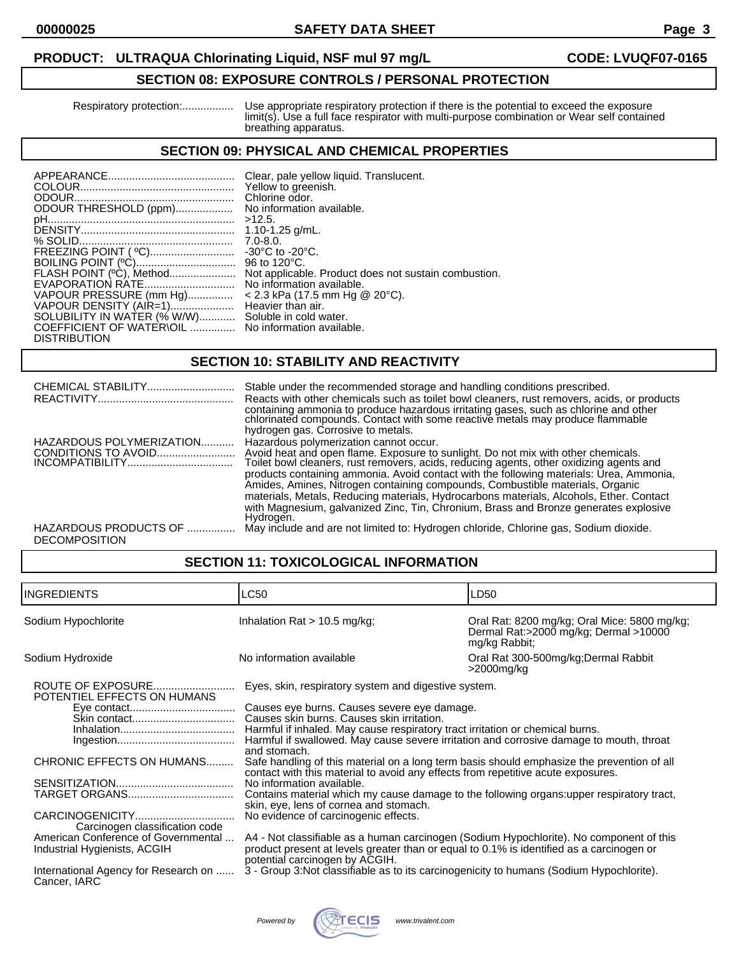## **PRODUCT: ULTRAQUA Chlorinating Liquid, NSF mul 97 mg/L CODE: LVUQF07-0165**

## **SECTION 08: EXPOSURE CONTROLS / PERSONAL PROTECTION**

 Respiratory protection:................. Use appropriate respiratory protection if there is the potential to exceed the exposure limit(s). Use a full face respirator with multi-purpose combination or Wear self contained breathing apparatus.

## **SECTION 09: PHYSICAL AND CHEMICAL PROPERTIES**

| ODOUR THRESHOLD (ppm)<br>$>12.5$ .<br>FREEZING POINT ( °C)<br>FLASH POINT (°C), Method<br>EVAPORATION RATE<br>VAPOUR PRESSURE (mm Hg)<br>VAPOUR DENSITY (AIR=1)<br>SOLUBILITY IN WATER (% W/W)<br>COEFFICIENT OF WATER\OIL  No information available.<br><b>DISTRIBUTION</b> | Clear, pale yellow liquid. Translucent.<br>Yellow to greenish.<br>Chlorine odor.<br>No information available.<br>1.10-1.25 $g/mL$ .<br>$7.0 - 8.0.$<br>$-30^{\circ}$ C to $-20^{\circ}$ C.<br>96 to $120^{\circ}$ C.<br>Not applicable. Product does not sustain combustion.<br>No information available.<br>$<$ 2.3 kPa (17.5 mm Hg @ 20°C).<br>Heavier than air.<br>Soluble in cold water. |
|------------------------------------------------------------------------------------------------------------------------------------------------------------------------------------------------------------------------------------------------------------------------------|----------------------------------------------------------------------------------------------------------------------------------------------------------------------------------------------------------------------------------------------------------------------------------------------------------------------------------------------------------------------------------------------|
|------------------------------------------------------------------------------------------------------------------------------------------------------------------------------------------------------------------------------------------------------------------------------|----------------------------------------------------------------------------------------------------------------------------------------------------------------------------------------------------------------------------------------------------------------------------------------------------------------------------------------------------------------------------------------------|

## **SECTION 10: STABILITY AND REACTIVITY**

| CHEMICAL STABILITY                              | Stable under the recommended storage and handling conditions prescribed.<br>Reacts with other chemicals such as toilet bowl cleaners, rust removers, acids, or products<br>containing ammonia to produce hazardous irritating gases, such as chlorine and other chlorinated compounds. Contact with some reactive metals may produce flammable<br>hydrogen gas. Corrosive to metals.                                                                                                                                                                                                               |
|-------------------------------------------------|----------------------------------------------------------------------------------------------------------------------------------------------------------------------------------------------------------------------------------------------------------------------------------------------------------------------------------------------------------------------------------------------------------------------------------------------------------------------------------------------------------------------------------------------------------------------------------------------------|
| HAZARDOUS POLYMERIZATION<br>CONDITIONS TO AVOID | Hazardous polymerization cannot occur.<br>Avoid heat and open flame. Exposure to sunlight. Do not mix with other chemicals.<br>Toilet bowl cleaners, rust removers, acids, reducing agents, other oxidizing agents and<br>products containing ammonia. Avoid contact with the following materials: Urea, Ammonia,<br>Amides, Amines, Nitrogen containing compounds, Combustible materials, Organic<br>materials, Metals, Reducing materials, Hydrocarbons materials, Alcohols, Ether. Contact<br>with Magnesium, galvanized Zinc, Tin, Chronium, Brass and Bronze generates explosive<br>Hydrogen. |
| HAZARDOUS PRODUCTS OF<br><b>DECOMPOSITION</b>   | May include and are not limited to: Hydrogen chloride, Chlorine gas, Sodium dioxide.                                                                                                                                                                                                                                                                                                                                                                                                                                                                                                               |

## **SECTION 11: TOXICOLOGICAL INFORMATION**

| Sodium Hypochlorite                                                                                                                                                                                                                            | Inhalation Rat $> 10.5$ mg/kg;                                                                                                                                                                                                                                                                                                                                                                                                                                          | Oral Rat: 8200 mg/kg; Oral Mice: 5800 mg/kg;                                                                                                                                                                                                                                                                                                                                                                                                                                                                                                                          |
|------------------------------------------------------------------------------------------------------------------------------------------------------------------------------------------------------------------------------------------------|-------------------------------------------------------------------------------------------------------------------------------------------------------------------------------------------------------------------------------------------------------------------------------------------------------------------------------------------------------------------------------------------------------------------------------------------------------------------------|-----------------------------------------------------------------------------------------------------------------------------------------------------------------------------------------------------------------------------------------------------------------------------------------------------------------------------------------------------------------------------------------------------------------------------------------------------------------------------------------------------------------------------------------------------------------------|
|                                                                                                                                                                                                                                                |                                                                                                                                                                                                                                                                                                                                                                                                                                                                         | Dermal Rat:>2000 mg/kg; Dermal >10000<br>mg/kg Rabbit;                                                                                                                                                                                                                                                                                                                                                                                                                                                                                                                |
| Sodium Hydroxide                                                                                                                                                                                                                               | No information available                                                                                                                                                                                                                                                                                                                                                                                                                                                | Oral Rat 300-500mg/kg; Dermal Rabbit<br>>2000mg/kg                                                                                                                                                                                                                                                                                                                                                                                                                                                                                                                    |
| ROUTE OF EXPOSURE<br>POTENTIEL EFFECTS ON HUMANS<br>and stomach.<br>CHRONIC EFFECTS ON HUMANS<br>Carcinogen classification code<br>American Conference of Governmental<br>Industrial Hygienists, ACGIH<br>International Agency for Research on | Eyes, skin, respiratory system and digestive system.<br>Causes eye burns. Causes severe eye damage.<br>Causes skin burns. Causes skin irritation.<br>Harmful if inhaled. May cause respiratory tract irritation or chemical burns.<br>contact with this material to avoid any effects from repetitive acute exposures.<br>No information available.<br>skin, eye, lens of cornea and stomach.<br>No evidence of carcinogenic effects.<br>potential carcinogen by ACGIH. | Harmful if swallowed. May cause severe irritation and corrosive damage to mouth, throat<br>Safe handling of this material on a long term basis should emphasize the prevention of all<br>Contains material which my cause damage to the following organs: upper respiratory tract,<br>A4 - Not classifiable as a human carcinogen (Sodium Hypochlorite). No component of this<br>product present at levels greater than or equal to 0.1% is identified as a carcinogen or<br>3 - Group 3: Not classifiable as to its carcinogenicity to humans (Sodium Hypochlorite). |